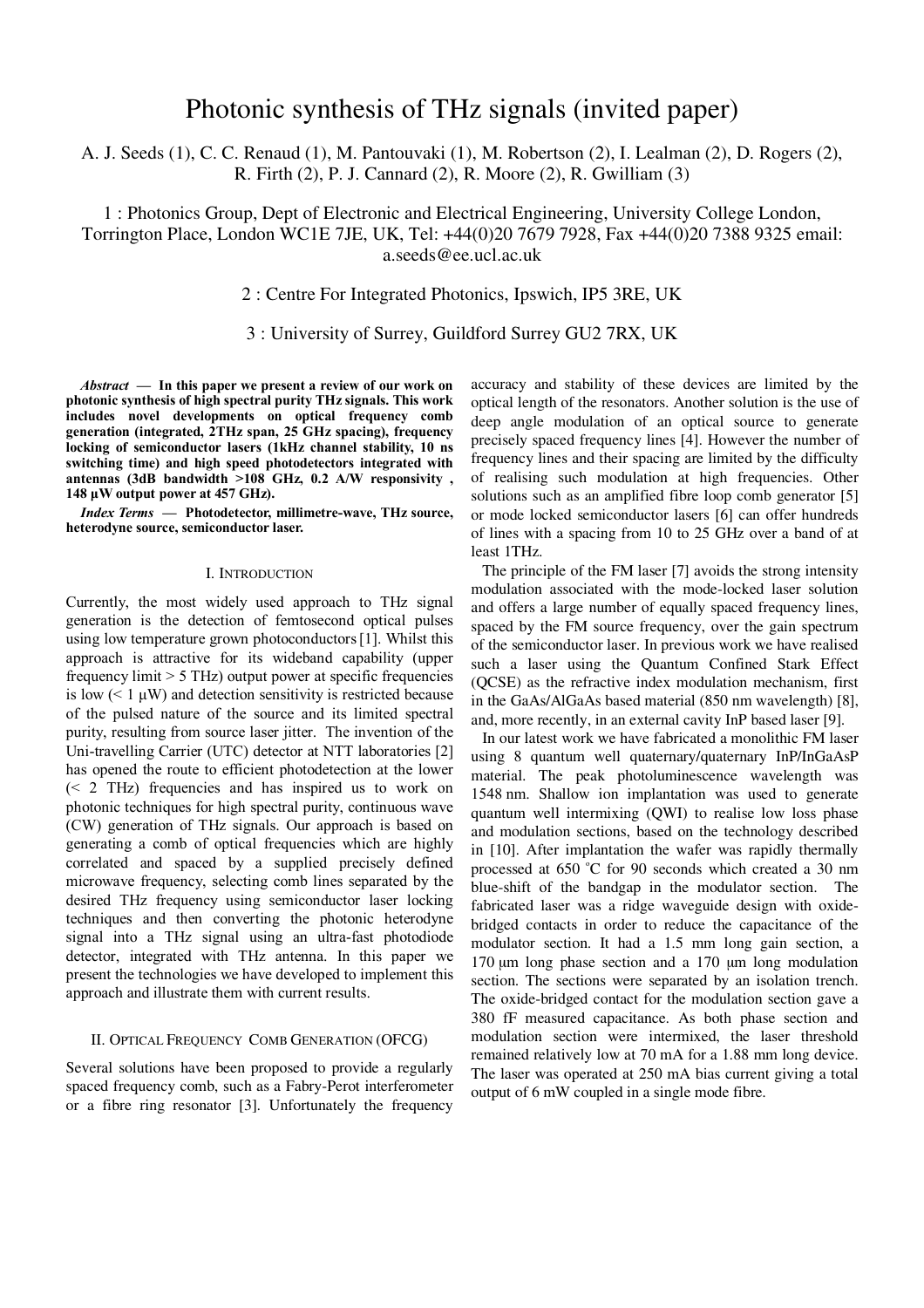# Photonic synthesis of THz signals (invited paper)

A. J. Seeds (1), C. C. Renaud (1), M. Pantouvaki (1), M. Robertson (2), I. Lealman (2), D. Rogers (2), R. Firth (2), P. J. Cannard (2), R. Moore (2), R. Gwilliam (3)

1 : Photonics Group, Dept of Electronic and Electrical Engineering, University College London, Torrington Place, London WC1E 7JE, UK, Tel: +44(0)20 7679 7928, Fax +44(0)20 7388 9325 email: a.seeds@ee.ucl.ac.uk

# 2 : Centre For Integrated Photonics, Ipswich, IP5 3RE, UK

3 : University of Surrey, Guildford Surrey GU2 7RX, UK

*Abstract* **— In this paper we present a review of our work on photonic synthesis of high spectral purity THz signals. This work includes novel developments on optical frequency comb generation (integrated, 2THz span, 25 GHz spacing), frequency locking of semiconductor lasers (1kHz channel stability, 10 ns switching time) and high speed photodetectors integrated with antennas (3dB bandwidth >108 GHz, 0.2 A/W responsivity , 148 µW output power at 457 GHz).** 

*Index Terms* **— Photodetector, millimetre-wave, THz source, heterodyne source, semiconductor laser.**

## I. INTRODUCTION

Currently, the most widely used approach to THz signal generation is the detection of femtosecond optical pulses using low temperature grown photoconductors[1]. Whilst this approach is attractive for its wideband capability (upper frequency limit > 5 THz) output power at specific frequencies is low  $(< 1 \mu W)$  and detection sensitivity is restricted because of the pulsed nature of the source and its limited spectral purity, resulting from source laser jitter. The invention of the Uni-travelling Carrier (UTC) detector at NTT laboratories [2] has opened the route to efficient photodetection at the lower (< 2 THz) frequencies and has inspired us to work on photonic techniques for high spectral purity, continuous wave (CW) generation of THz signals. Our approach is based on generating a comb of optical frequencies which are highly correlated and spaced by a supplied precisely defined microwave frequency, selecting comb lines separated by the desired THz frequency using semiconductor laser locking techniques and then converting the photonic heterodyne signal into a THz signal using an ultra-fast photodiode detector, integrated with THz antenna. In this paper we present the technologies we have developed to implement this approach and illustrate them with current results.

## II. OPTICAL FREQUENCY COMB GENERATION (OFCG)

Several solutions have been proposed to provide a regularly spaced frequency comb, such as a Fabry-Perot interferometer or a fibre ring resonator [3]. Unfortunately the frequency

accuracy and stability of these devices are limited by the optical length of the resonators. Another solution is the use of deep angle modulation of an optical source to generate precisely spaced frequency lines [4]. However the number of frequency lines and their spacing are limited by the difficulty of realising such modulation at high frequencies. Other solutions such as an amplified fibre loop comb generator [5] or mode locked semiconductor lasers [6] can offer hundreds of lines with a spacing from 10 to 25 GHz over a band of at least 1THz.

The principle of the FM laser [7] avoids the strong intensity modulation associated with the mode-locked laser solution and offers a large number of equally spaced frequency lines, spaced by the FM source frequency, over the gain spectrum of the semiconductor laser. In previous work we have realised such a laser using the Quantum Confined Stark Effect (QCSE) as the refractive index modulation mechanism, first in the GaAs/AlGaAs based material (850 nm wavelength) [8], and, more recently, in an external cavity InP based laser [9].

In our latest work we have fabricated a monolithic FM laser using 8 quantum well quaternary/quaternary InP/InGaAsP material. The peak photoluminescence wavelength was 1548 nm. Shallow ion implantation was used to generate quantum well intermixing (QWI) to realise low loss phase and modulation sections, based on the technology described in [10]. After implantation the wafer was rapidly thermally processed at 650 °C for 90 seconds which created a 30 nm blue-shift of the bandgap in the modulator section. The fabricated laser was a ridge waveguide design with oxidebridged contacts in order to reduce the capacitance of the modulator section. It had a 1.5 mm long gain section, a 170 um long phase section and a 170 um long modulation section. The sections were separated by an isolation trench. The oxide-bridged contact for the modulation section gave a 380 fF measured capacitance. As both phase section and modulation section were intermixed, the laser threshold remained relatively low at 70 mA for a 1.88 mm long device. The laser was operated at 250 mA bias current giving a total output of 6 mW coupled in a single mode fibre.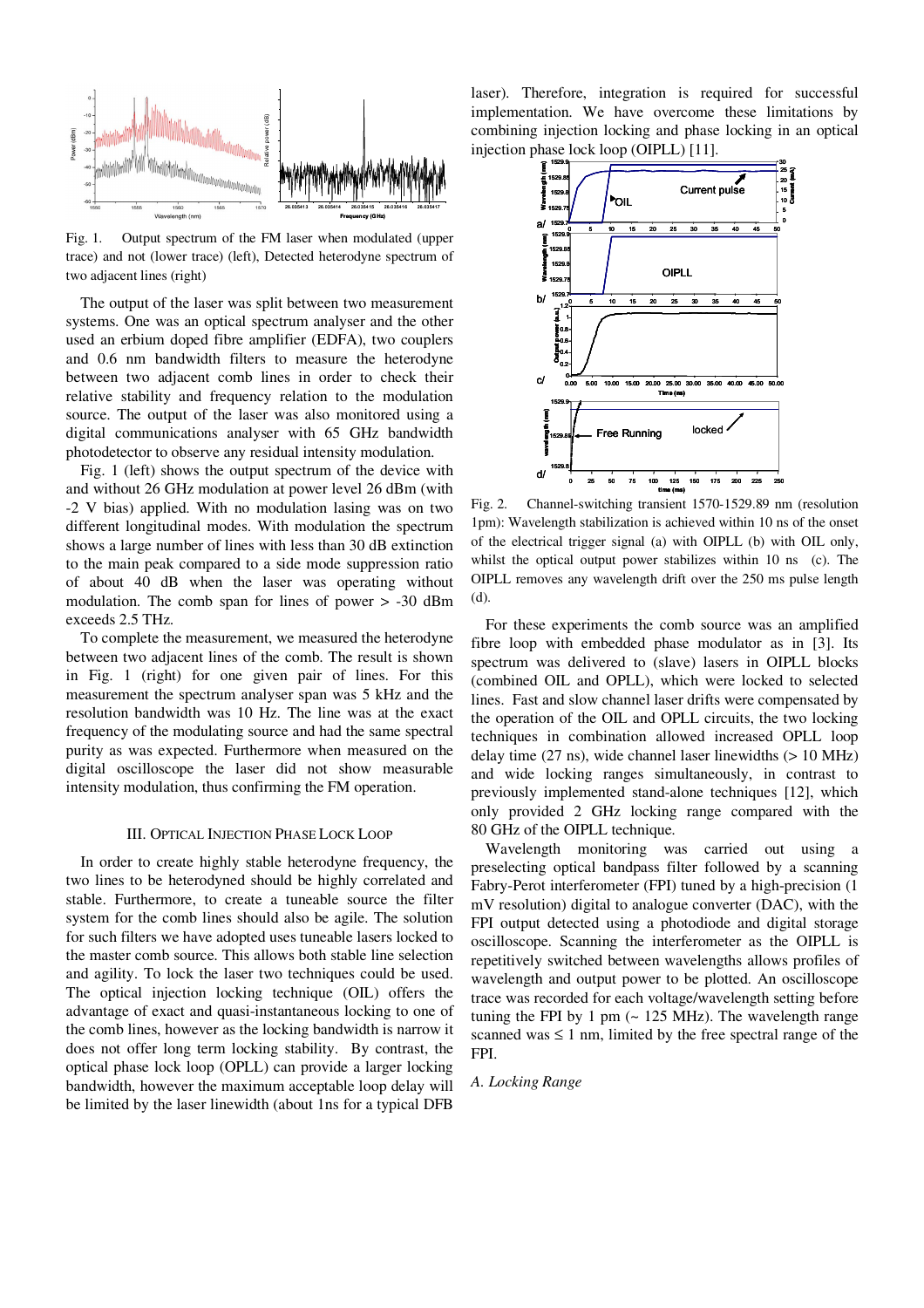

Fig. 1. Output spectrum of the FM laser when modulated (upper trace) and not (lower trace) (left), Detected heterodyne spectrum of two adjacent lines (right)

The output of the laser was split between two measurement systems. One was an optical spectrum analyser and the other used an erbium doped fibre amplifier (EDFA), two couplers and 0.6 nm bandwidth filters to measure the heterodyne between two adjacent comb lines in order to check their relative stability and frequency relation to the modulation source. The output of the laser was also monitored using a digital communications analyser with 65 GHz bandwidth photodetector to observe any residual intensity modulation.

Fig. 1 (left) shows the output spectrum of the device with and without 26 GHz modulation at power level 26 dBm (with -2 V bias) applied. With no modulation lasing was on two different longitudinal modes. With modulation the spectrum shows a large number of lines with less than 30 dB extinction to the main peak compared to a side mode suppression ratio of about 40 dB when the laser was operating without modulation. The comb span for lines of power > -30 dBm exceeds 2.5 THz.

To complete the measurement, we measured the heterodyne between two adjacent lines of the comb. The result is shown in Fig. 1 (right) for one given pair of lines. For this measurement the spectrum analyser span was 5 kHz and the resolution bandwidth was 10 Hz. The line was at the exact frequency of the modulating source and had the same spectral purity as was expected. Furthermore when measured on the digital oscilloscope the laser did not show measurable intensity modulation, thus confirming the FM operation.

## III. OPTICAL INJECTION PHASE LOCK LOOP

In order to create highly stable heterodyne frequency, the two lines to be heterodyned should be highly correlated and stable. Furthermore, to create a tuneable source the filter system for the comb lines should also be agile. The solution for such filters we have adopted uses tuneable lasers locked to the master comb source. This allows both stable line selection and agility. To lock the laser two techniques could be used. The optical injection locking technique (OIL) offers the advantage of exact and quasi-instantaneous locking to one of the comb lines, however as the locking bandwidth is narrow it does not offer long term locking stability. By contrast, the optical phase lock loop (OPLL) can provide a larger locking bandwidth, however the maximum acceptable loop delay will be limited by the laser linewidth (about 1ns for a typical DFB

laser). Therefore, integration is required for successful implementation. We have overcome these limitations by combining injection locking and phase locking in an optical injection phase lock loop (OIPLL) [11].



Fig. 2. Channel-switching transient 1570-1529.89 nm (resolution 1pm): Wavelength stabilization is achieved within 10 ns of the onset of the electrical trigger signal (a) with OIPLL (b) with OIL only, whilst the optical output power stabilizes within 10 ns (c). The OIPLL removes any wavelength drift over the 250 ms pulse length (d).

For these experiments the comb source was an amplified fibre loop with embedded phase modulator as in [3]. Its spectrum was delivered to (slave) lasers in OIPLL blocks (combined OIL and OPLL), which were locked to selected lines. Fast and slow channel laser drifts were compensated by the operation of the OIL and OPLL circuits, the two locking techniques in combination allowed increased OPLL loop delay time (27 ns), wide channel laser linewidths (> 10 MHz) and wide locking ranges simultaneously, in contrast to previously implemented stand-alone techniques [12], which only provided 2 GHz locking range compared with the 80 GHz of the OIPLL technique.

Wavelength monitoring was carried out using a preselecting optical bandpass filter followed by a scanning Fabry-Perot interferometer (FPI) tuned by a high-precision (1 mV resolution) digital to analogue converter (DAC), with the FPI output detected using a photodiode and digital storage oscilloscope. Scanning the interferometer as the OIPLL is repetitively switched between wavelengths allows profiles of wavelength and output power to be plotted. An oscilloscope trace was recorded for each voltage/wavelength setting before tuning the FPI by 1 pm  $\sim$  125 MHz). The wavelength range scanned was  $\leq 1$  nm, limited by the free spectral range of the FPI.

# *A. Locking Range*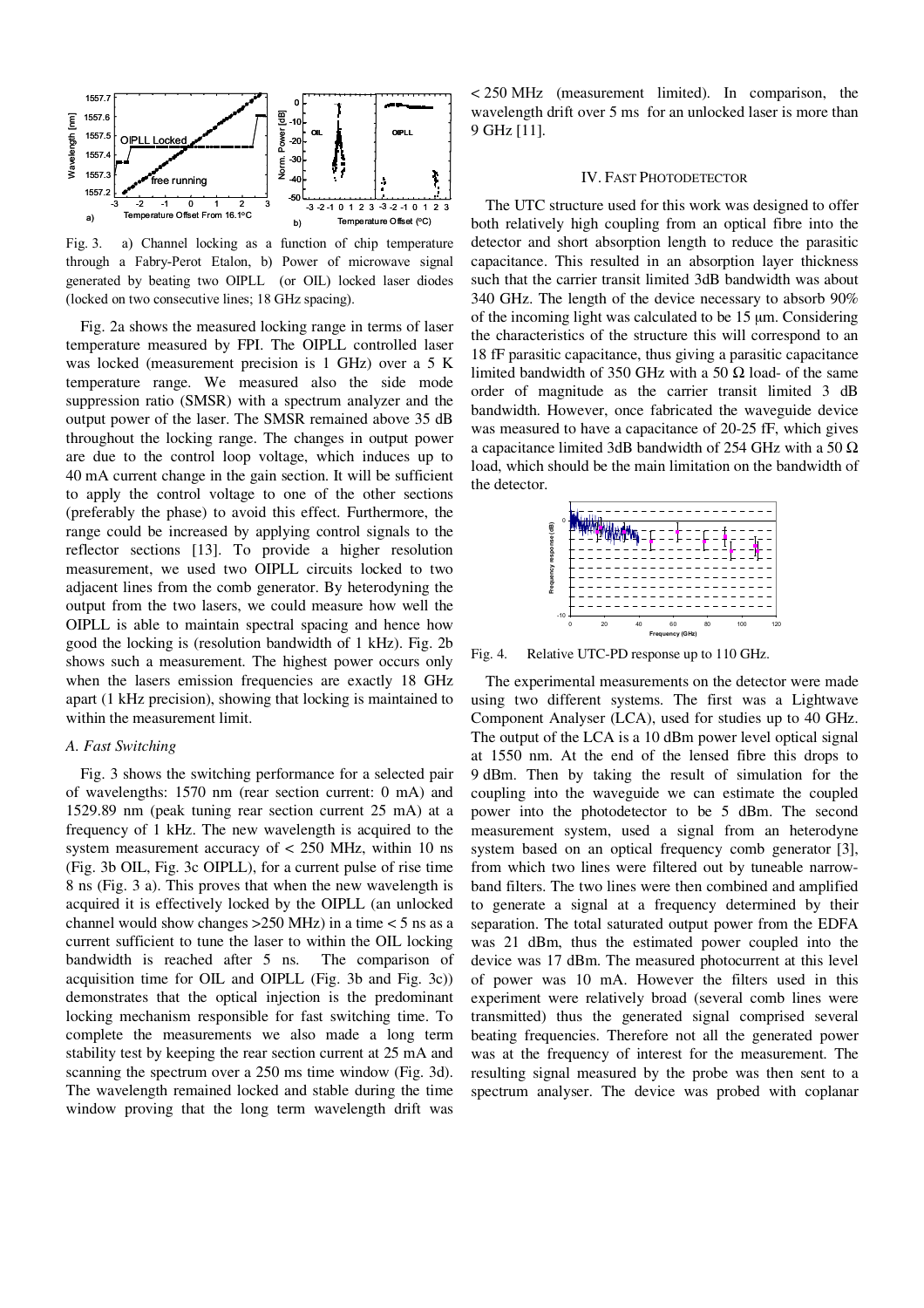

Fig. 3. a) Channel locking as a function of chip temperature through a Fabry-Perot Etalon, b) Power of microwave signal generated by beating two OIPLL (or OIL) locked laser diodes (locked on two consecutive lines; 18 GHz spacing).

Fig. 2a shows the measured locking range in terms of laser temperature measured by FPI. The OIPLL controlled laser was locked (measurement precision is 1 GHz) over a 5 K temperature range. We measured also the side mode suppression ratio (SMSR) with a spectrum analyzer and the output power of the laser. The SMSR remained above 35 dB throughout the locking range. The changes in output power are due to the control loop voltage, which induces up to 40 mA current change in the gain section. It will be sufficient to apply the control voltage to one of the other sections (preferably the phase) to avoid this effect. Furthermore, the range could be increased by applying control signals to the reflector sections [13]. To provide a higher resolution measurement, we used two OIPLL circuits locked to two adjacent lines from the comb generator. By heterodyning the output from the two lasers, we could measure how well the OIPLL is able to maintain spectral spacing and hence how good the locking is (resolution bandwidth of 1 kHz). Fig. 2b shows such a measurement. The highest power occurs only when the lasers emission frequencies are exactly 18 GHz apart (1 kHz precision), showing that locking is maintained to within the measurement limit.

# *A. Fast Switching*

Fig. 3 shows the switching performance for a selected pair of wavelengths: 1570 nm (rear section current: 0 mA) and 1529.89 nm (peak tuning rear section current 25 mA) at a frequency of 1 kHz. The new wavelength is acquired to the system measurement accuracy of  $<$  250 MHz, within 10 ns (Fig. 3b OIL, Fig. 3c OIPLL), for a current pulse of rise time 8 ns (Fig. 3 a). This proves that when the new wavelength is acquired it is effectively locked by the OIPLL (an unlocked channel would show changes >250 MHz) in a time < 5 ns as a current sufficient to tune the laser to within the OIL locking bandwidth is reached after 5 ns. The comparison of acquisition time for OIL and OIPLL (Fig. 3b and Fig. 3c)) demonstrates that the optical injection is the predominant locking mechanism responsible for fast switching time. To complete the measurements we also made a long term stability test by keeping the rear section current at 25 mA and scanning the spectrum over a 250 ms time window (Fig. 3d). The wavelength remained locked and stable during the time window proving that the long term wavelength drift was

< 250 MHz (measurement limited). In comparison, the wavelength drift over 5 ms for an unlocked laser is more than 9 GHz [11].

#### IV. FAST PHOTODETECTOR

The UTC structure used for this work was designed to offer both relatively high coupling from an optical fibre into the detector and short absorption length to reduce the parasitic capacitance. This resulted in an absorption layer thickness such that the carrier transit limited 3dB bandwidth was about 340 GHz. The length of the device necessary to absorb 90% of the incoming light was calculated to be 15 µm. Considering the characteristics of the structure this will correspond to an 18 fF parasitic capacitance, thus giving a parasitic capacitance limited bandwidth of 350 GHz with a 50  $\Omega$  load- of the same order of magnitude as the carrier transit limited 3 dB bandwidth. However, once fabricated the waveguide device was measured to have a capacitance of 20-25 fF, which gives a capacitance limited 3dB bandwidth of 254 GHz with a 50  $\Omega$ load, which should be the main limitation on the bandwidth of the detector.



Fig. 4. Relative UTC-PD response up to 110 GHz.

The experimental measurements on the detector were made using two different systems. The first was a Lightwave Component Analyser (LCA), used for studies up to 40 GHz. The output of the LCA is a 10 dBm power level optical signal at 1550 nm. At the end of the lensed fibre this drops to 9 dBm. Then by taking the result of simulation for the coupling into the waveguide we can estimate the coupled power into the photodetector to be 5 dBm. The second measurement system, used a signal from an heterodyne system based on an optical frequency comb generator [3], from which two lines were filtered out by tuneable narrowband filters. The two lines were then combined and amplified to generate a signal at a frequency determined by their separation. The total saturated output power from the EDFA was 21 dBm, thus the estimated power coupled into the device was 17 dBm. The measured photocurrent at this level of power was 10 mA. However the filters used in this experiment were relatively broad (several comb lines were transmitted) thus the generated signal comprised several beating frequencies. Therefore not all the generated power was at the frequency of interest for the measurement. The resulting signal measured by the probe was then sent to a spectrum analyser. The device was probed with coplanar